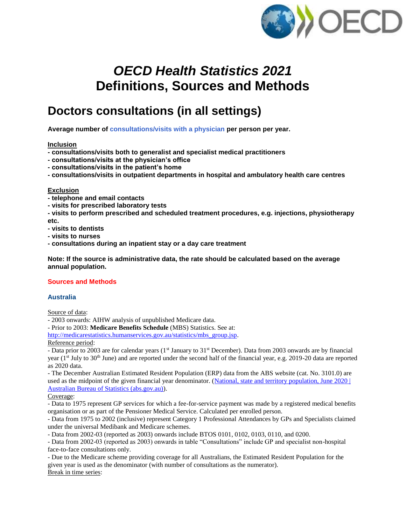

# *OECD Health Statistics 2021* **Definitions, Sources and Methods**

# **Doctors consultations (in all settings)**

**Average number of consultations/visits with a physician per person per year.**

## **Inclusion**

- **- consultations/visits both to generalist and specialist medical practitioners**
- **- consultations/visits at the physician's office**
- **- consultations/visits in the patient's home**
- **- consultations/visits in outpatient departments in hospital and ambulatory health care centres**

#### **Exclusion**

- **- telephone and email contacts**
- **- visits for prescribed laboratory tests**
- **- visits to perform prescribed and scheduled treatment procedures, e.g. injections, physiotherapy etc.**
- **- visits to dentists**
- **- visits to nurses**
- **- consultations during an inpatient stay or a day care treatment**

**Note: If the source is administrative data, the rate should be calculated based on the average annual population.**

## **Sources and Methods**

## **Australia**

Source of data:

- 2003 onwards: AIHW analysis of unpublished Medicare data.

- Prior to 2003: **Medicare Benefits Schedule** (MBS) Statistics. See at:

[http://medicarestatistics.humanservices.gov.au/statistics/mbs\\_group.jsp.](http://medicarestatistics.humanservices.gov.au/statistics/mbs_group.jsp)

## Reference period:

- Data prior to 2003 are for calendar years (1<sup>st</sup> January to 31<sup>st</sup> December). Data from 2003 onwards are by financial year (1<sup>st</sup> July to 30<sup>th</sup> June) and are reported under the second half of the financial year, e.g. 2019-20 data are reported as 2020 data.

- The December Australian Estimated Resident Population (ERP) data from the ABS website (cat. No. 3101.0) are used as the midpoint of the given financial year denominator. [\(National, state and territory population, June 2020 |](https://www.abs.gov.au/statistics/people/population/national-state-and-territory-population/latest-release#data-download)  [Australian Bureau of Statistics \(abs.gov.au\)\)](https://www.abs.gov.au/statistics/people/population/national-state-and-territory-population/latest-release#data-download).

Coverage:

- Data to 1975 represent GP services for which a fee-for-service payment was made by a registered medical benefits organisation or as part of the Pensioner Medical Service. Calculated per enrolled person.

- Data from 1975 to 2002 (inclusive) represent Category 1 Professional Attendances by GPs and Specialists claimed under the universal Medibank and Medicare schemes.

- Data from 2002-03 (reported as 2003) onwards include BTOS 0101, 0102, 0103, 0110, and 0200.

- Data from 2002-03 (reported as 2003) onwards in table "Consultations" include GP and specialist non-hospital face-to-face consultations only.

- Due to the Medicare scheme providing coverage for all Australians, the Estimated Resident Population for the given year is used as the denominator (with number of consultations as the numerator). Break in time series: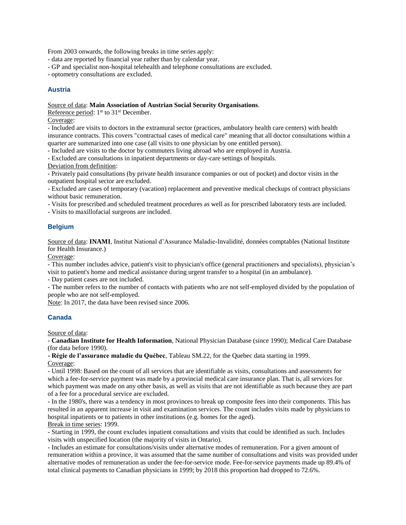From 2003 onwards, the following breaks in time series apply:

- data are reported by financial year rather than by calendar year.

- GP and specialist non-hospital telehealth and telephone consultations are excluded.

- optometry consultations are excluded.

#### **Austria**

#### Source of data: **Main Association of Austrian Social Security Organisations**.

Reference period: 1<sup>st</sup> to 31<sup>st</sup> December.

Coverage:

- Included are visits to doctors in the extramural sector (practices, ambulatory health care centers) with health insurance contracts. This covers "contractual cases of medical care" meaning that all doctor consultations within a quarter are summarized into one case (all visits to one physician by one entitled person).

- Included are visits to the doctor by commuters living abroad who are employed in Austria.

- Excluded are consultations in inpatient departments or day-care settings of hospitals.

Deviation from definition:

- Privately paid consultations (by private health insurance companies or out of pocket) and doctor visits in the outpatient hospital sector are excluded.

- Excluded are cases of temporary (vacation) replacement and preventive medical checkups of contract physicians without basic remuneration.

- Visits for prescribed and scheduled treatment procedures as well as for prescribed laboratory tests are included.

- Visits to maxillofacial surgeons are included.

#### **Belgium**

Source of data: **INAMI**, Institut National d'Assurance Maladie-Invalidité, données comptables (National Institute for Health Insurance.)

Coverage:

- This number includes advice, patient's visit to physician's office (general practitioners and specialists), physician's visit to patient's home and medical assistance during urgent transfer to a hospital (in an ambulance).

- Day patient cases are not included.

- The number refers to the number of contacts with patients who are not self-employed divided by the population of people who are not self-employed.

Note: In 2017, the data have been revised since 2006.

#### **Canada**

Source of data:

- **Canadian Institute for Health Information**, National Physician Database (since 1990); Medical Care Database (for data before 1990).

- **Régie de l'assurance maladie du Québec**, Tableau SM.22, for the Quebec data starting in 1999. Coverage:

- Until 1998: Based on the count of all services that are identifiable as visits, consultations and assessments for which a fee-for-service payment was made by a provincial medical care insurance plan. That is, all services for which payment was made on any other basis, as well as visits that are not identifiable as such because they are part of a fee for a procedural service are excluded.

- In the 1980's, there was a tendency in most provinces to break up composite fees into their components. This has resulted in an apparent increase in visit and examination services. The count includes visits made by physicians to hospital inpatients or to patients in other institutions (e.g. homes for the aged). Break in time series: 1999.

- Starting in 1999, the count excludes inpatient consultations and visits that could be identified as such. Includes visits with unspecified location (the majority of visits in Ontario).

- Includes an estimate for consultations/visits under alternative modes of remuneration. For a given amount of remuneration within a province, it was assumed that the same number of consultations and visits was provided under alternative modes of remuneration as under the fee-for-service mode. Fee-for-service payments made up 89.4% of total clinical payments to Canadian physicians in 1999; by 2018 this proportion had dropped to 72.6%.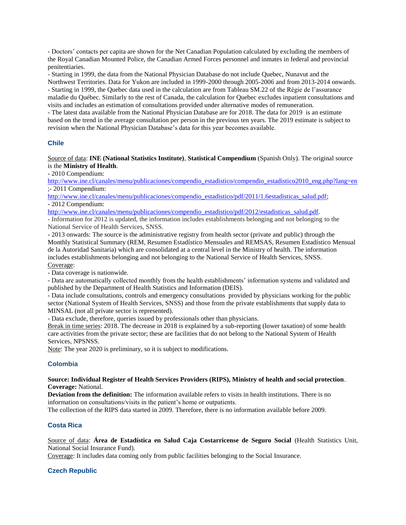- Doctors' contacts per capita are shown for the Net Canadian Population calculated by excluding the members of the Royal Canadian Mounted Police, the Canadian Armed Forces personnel and inmates in federal and provincial penitentiaries.

- Starting in 1999, the data from the National Physician Database do not include Quebec, Nunavut and the Northwest Territories. Data for Yukon are included in 1999-2000 through 2005-2006 and from 2013-2014 onwards. - Starting in 1999, the Quebec data used in the calculation are from Tableau SM.22 of the Régie de l'assurance maladie du Québec. Similarly to the rest of Canada, the calculation for Quebec excludes inpatient consultations and visits and includes an estimation of consultations provided under alternative modes of remuneration.

- The latest data available from the National Physician Database are for 2018. The data for 2019 is an estimate based on the trend in the average consultation per person in the previous ten years. The 2019 estimate is subject to revision when the National Physician Database's data for this year becomes available.

## **Chile**

Source of data: **INE (National Statistics Institute)**, **Statistical Compendium** (Spanish Only). The original source is the **Ministry of Health**.

- 2010 Compendium:

[http://www.ine.cl/canales/menu/publicaciones/compendio\\_estadistico/compendio\\_estadistico2010\\_eng.php?lang=en](http://www.ine.cl/canales/menu/publicaciones/compendio_estadistico/compendio_estadistico2010_eng.php?lang=en) ;- 2011 Compendium:

[http://www.ine.cl/canales/menu/publicaciones/compendio\\_estadistico/pdf/2011/1.6estadisticas\\_salud.pdf;](http://www.ine.cl/canales/menu/publicaciones/compendio_estadistico/pdf/2011/1.6estadisticas_salud.pdf) - 2012 Compendium:

[http://www.ine.cl/canales/menu/publicaciones/compendio\\_estadistico/pdf/2012/estadisticas\\_salud.pdf.](http://www.ine.cl/canales/menu/publicaciones/compendio_estadistico/pdf/2012/estadisticas_salud.pdf)

- Information for 2012 is updated, the information includes establishments belonging and not belonging to the National Service of Health Services, SNSS.

- 2013 onwards: The source is the administrative registry from health sector (private and public) through the Monthly Statistical Summary (REM, Resumen Estadístico Mensuales and REMSAS, Resumen Estadístico Mensual de la Autoridad Sanitaria) which are consolidated at a central level in the Ministry of health. The information includes establishments belonging and not belonging to the National Service of Health Services, SNSS. Coverage:

- Data coverage is nationwide.

- Data are automatically collected monthly from the health establishments' information systems and validated and published by the Department of Health Statistics and Information (DEIS).

- Data include consultations, controls and emergency consultations provided by physicians working for the public sector (National System of Health Services, SNSS) and those from the private establishments that supply data to MINSAL (not all private sector is represented).

- Data exclude, therefore, queries issued by professionals other than physicians.

Break in time series: 2018. The decrease in 2018 is explained by a sub-reporting (lower taxation) of some health care activities from the private sector; these are facilities that do not belong to the National System of Health Services, NPSNSS.

Note: The year 2020 is preliminary, so it is subject to modifications.

#### **Colombia**

#### **Source: Individual Register of Health Services Providers (RIPS), Ministry of health and social protection**. **Coverage:** National.

**Deviation from the definition:** The information available refers to visits in health institutions. There is no information on consultations/visits in the patient's home or outpatients.

The collection of the RIPS data started in 2009. Therefore, there is no information available before 2009.

#### **Costa Rica**

Source of data: **Área de Estadística en Salud Caja Costarricense de Seguro Social** (Health Statistics Unit, National Social Insurance Fund).

Coverage: It includes data coming only from public facilities belonging to the Social Insurance.

#### **Czech Republic**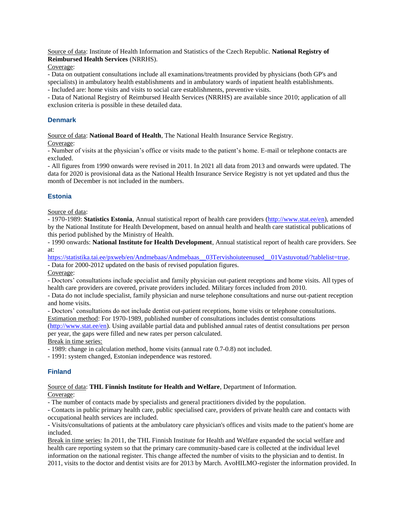Source of data: Institute of Health Information and Statistics of the Czech Republic. **National Registry of Reimbursed Health Services** (NRRHS).

Coverage:

- Data on outpatient consultations include all examinations/treatments provided by physicians (both GP's and specialists) in ambulatory health establishments and in ambulatory wards of inpatient health establishments.

- Included are: home visits and visits to social care establishments, preventive visits.

- Data of National Registry of Reimbursed Health Services (NRRHS) are available since 2010; application of all exclusion criteria is possible in these detailed data.

## **Denmark**

Source of data: **National Board of Health**, The National Health Insurance Service Registry.

Coverage:

- Number of visits at the physician's office or visits made to the patient's home. E-mail or telephone contacts are excluded.

- All figures from 1990 onwards were revised in 2011. In 2021 all data from 2013 and onwards were updated. The data for 2020 is provisional data as the National Health Insurance Service Registry is not yet updated and thus the month of December is not included in the numbers.

# **Estonia**

Source of data:

- 1970-1989: **Statistics Estonia**, Annual statistical report of health care providers [\(http://www.stat.ee/en\)](http://www.stat.ee/en), amended by the National Institute for Health Development, based on annual health and health care statistical publications of this period published by the Ministry of Health.

- 1990 onwards: **National Institute for Health Development**, Annual statistical report of health care providers. See at:

[https://statistika.tai.ee/pxweb/en/Andmebaas/Andmebaas\\_\\_03Tervishoiuteenused\\_\\_01Vastuvotud/?tablelist=true.](https://statistika.tai.ee/pxweb/en/Andmebaas/Andmebaas__03Tervishoiuteenused__01Vastuvotud/?tablelist=true)

- Data for 2000-2012 updated on the basis of revised population figures.

Coverage:

- Doctors' consultations include specialist and family physician out-patient receptions and home visits. All types of health care providers are covered, private providers included. Military forces included from 2010.

- Data do not include specialist, family physician and nurse telephone consultations and nurse out-patient reception and home visits.

- Doctors' consultations do not include dentist out-patient receptions, home visits or telephone consultations. Estimation method: For 1970-1989, published number of consultations includes dentist consultations

[\(http://www.stat.ee/en\)](http://www.stat.ee/en). Using available partial data and published annual rates of dentist consultations per person per year, the gaps were filled and new rates per person calculated.

Break in time series:

- 1989: change in calculation method, home visits (annual rate 0.7-0.8) not included.

- 1991: system changed, Estonian independence was restored.

## **Finland**

Source of data: **THL Finnish Institute for Health and Welfare**, Department of Information. Coverage:

- The number of contacts made by specialists and general practitioners divided by the population.

- Contacts in public primary health care, public specialised care, providers of private health care and contacts with occupational health services are included.

- Visits/consultations of patients at the ambulatory care physician's offices and visits made to the patient's home are included.

Break in time series: In 2011, the THL Finnish Institute for Health and Welfare expanded the social welfare and health care reporting system so that the primary care community-based care is collected at the individual level information on the national register. This change affected the number of visits to the physician and to dentist. In 2011, visits to the doctor and dentist visits are for 2013 by March. AvoHILMO-register the information provided. In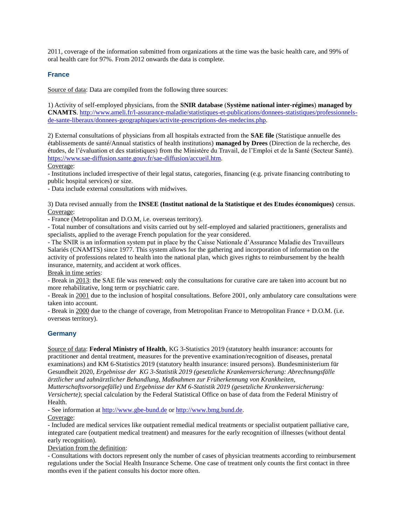2011, coverage of the information submitted from organizations at the time was the basic health care, and 99% of oral health care for 97%. From 2012 onwards the data is complete.

#### **France**

Source of data: Data are compiled from the following three sources:

1) Activity of self-employed physicians, from the **SNIR database** (**Système national inter-régimes**) **managed by CNAMTS**. [http://www.ameli.fr/l-assurance-maladie/statistiques-et-publications/donnees-statistiques/professionnels](http://www.ameli.fr/l-assurance-maladie/statistiques-et-publications/donnees-statistiques/professionnels-de-sante-liberaux/donnees-geographiques/activite-prescriptions-des-medecins.php)[de-sante-liberaux/donnees-geographiques/activite-prescriptions-des-medecins.php.](http://www.ameli.fr/l-assurance-maladie/statistiques-et-publications/donnees-statistiques/professionnels-de-sante-liberaux/donnees-geographiques/activite-prescriptions-des-medecins.php)

2) External consultations of physicians from all hospitals extracted from the **SAE file** (Statistique annuelle des établissements de santé/Annual statistics of health institutions) **managed by Drees** (Direction de la recherche, des études, de l'évaluation et des statistiques) from the Ministère du Travail, de l'Emploi et de la Santé (Secteur Santé). [https://www.sae-diffusion.sante.gouv.fr/sae-diffusion/accueil.htm.](https://www.sae-diffusion.sante.gouv.fr/sae-diffusion/accueil.htm)

Coverage:

- Institutions included irrespective of their legal status, categories, financing (e.g. private financing contributing to public hospital services) or size.

- Data include external consultations with midwives.

3) Data revised annually from the **INSEE (Institut national de la Statistique et des Etudes économiques)** census. Coverage:

- France (Metropolitan and D.O.M, i.e. overseas territory).

- Total number of consultations and visits carried out by self-employed and salaried practitioners, generalists and specialists, applied to the average French population for the year considered.

- The SNIR is an information system put in place by the Caisse Nationale d'Assurance Maladie des Travailleurs Salariés (CNAMTS) since 1977. This system allows for the gathering and incorporation of information on the activity of professions related to health into the national plan, which gives rights to reimbursement by the health insurance, maternity, and accident at work offices.

Break in time series:

- Break in 2013: the SAE file was renewed: only the consultations for curative care are taken into account but no more rehabilitative, long term or psychiatric care.

- Break in 2001 due to the inclusion of hospital consultations. Before 2001, only ambulatory care consultations were taken into account.

- Break in 2000 due to the change of coverage, from Metropolitan France to Metropolitan France + D.O.M. (i.e. overseas territory).

## **Germany**

Source of data: **Federal Ministry of Health**, KG 3-Statistics 2019 (statutory health insurance: accounts for practitioner and dental treatment, measures for the preventive examination/recognition of diseases, prenatal examinations) and KM 6-Statistics 2019 (statutory health insurance: insured persons). Bundesministerium für Gesundheit 2020, *Ergebnisse der KG 3-Statistik 2019 (gesetzliche Krankenversicherung: Abrechnungsfälle ärztlicher und zahnärztlicher Behandlung, Maßnahmen zur Früherkennung von Krankheiten,* 

*Mutterschaftsvorsorgefälle)* und *Ergebnisse der KM 6-Statistik 2019 (gesetzliche Krankenversicherung: Versicherte)*; special calculation by the Federal Statistical Office on base of data from the Federal Ministry of Health.

- See information at [http://www.gbe-bund.de](http://www.gbe-bund.de/) or [http://www.bmg.bund.de.](http://www.bmg.bund.de/)

## Coverage:

- Included are medical services like outpatient remedial medical treatments or specialist outpatient palliative care, integrated care (outpatient medical treatment) and measures for the early recognition of illnesses (without dental early recognition).

Deviation from the definition:

- Consultations with doctors represent only the number of cases of physician treatments according to reimbursement regulations under the Social Health Insurance Scheme. One case of treatment only counts the first contact in three months even if the patient consults his doctor more often.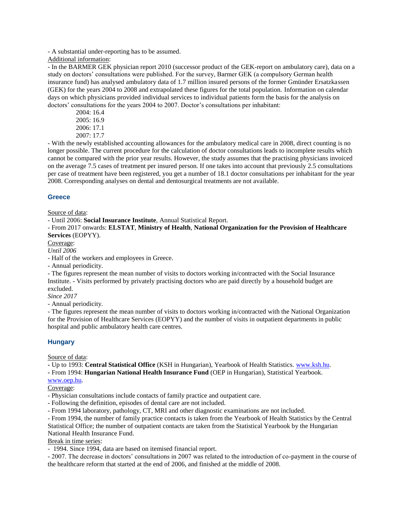- A substantial under-reporting has to be assumed.

Additional information:

- In the BARMER GEK physician report 2010 (successor product of the GEK-report on ambulatory care), data on a study on doctors' consultations were published. For the survey, Barmer GEK (a compulsory German health insurance fund) has analysed ambulatory data of 1.7 million insured persons of the former Gmünder Ersatzkassen (GEK) for the years 2004 to 2008 and extrapolated these figures for the total population. Information on calendar days on which physicians provided individual services to individual patients form the basis for the analysis on doctors' consultations for the years 2004 to 2007. Doctor's consultations per inhabitant:

2004: 16.4 2005: 16.9 2006: 17.1 2007: 17.7

- With the newly established accounting allowances for the ambulatory medical care in 2008, direct counting is no longer possible. The current procedure for the calculation of doctor consultations leads to incomplete results which cannot be compared with the prior year results. However, the study assumes that the practising physicians invoiced on the average 7.5 cases of treatment per insured person. If one takes into account that previously 2.5 consultations per case of treatment have been registered, you get a number of 18.1 doctor consultations per inhabitant for the year 2008. Corresponding analyses on dental and dentosurgical treatments are not available.

## **Greece**

Source of data:

- Until 2006: **Social Insurance Institute**, Annual Statistical Report.

- From 2017 onwards: **ELSTAT**, **Ministry of Health**, **National Organization for the Provision of Healthcare Services** (EOPYY).

Coverage:

*Until 2006*

- Half of the workers and employees in Greece.

- Annual periodicity.

- The figures represent the mean number of visits to doctors working in/contracted with the Social Insurance Institute. - Visits performed by privately practising doctors who are paid directly by a household budget are excluded.

*Since 2017*

- Annual periodicity.

- The figures represent the mean number of visits to doctors working in/contracted with the National Organization for the Provision of Healthcare Services (EOPYY) and the number of visits in outpatient departments in public hospital and public ambulatory health care centres.

#### **Hungary**

Source of data:

**-** Up to 1993: **Central Statistical Office** (KSH in Hungarian), Yearbook of Health Statistics. [www.ksh.hu.](http://www.ksh.hu/) **-** From 1994: **Hungarian National Health Insurance Fund** (OEP in Hungarian), Statistical Yearbook.

[www.oep.hu.](http://www.oep.hu/)

Coverage:

- Physician consultations include contacts of family practice and outpatient care.

- Following the definition, episodes of dental care are not included.

- From 1994 laboratory, pathology, CT, MRI and other diagnostic examinations are not included.

- From 1994, the number of family practice contacts is taken from the Yearbook of Health Statistics by the Central Statistical Office; the number of outpatient contacts are taken from the Statistical Yearbook by the Hungarian National Health Insurance Fund.

Break in time series:

- 1994. Since 1994, data are based on itemised financial report.

- 2007. The decrease in doctors' consultations in 2007 was related to the introduction of co-payment in the course of the healthcare reform that started at the end of 2006, and finished at the middle of 2008.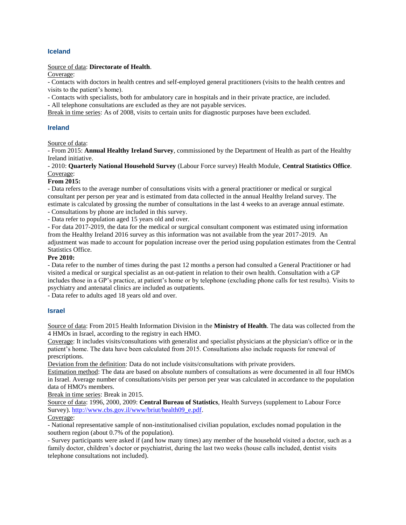## **Iceland**

#### Source of data: **Directorate of Health**.

Coverage:

- Contacts with doctors in health centres and self-employed general practitioners (visits to the health centres and visits to the patient's home).

- Contacts with specialists, both for ambulatory care in hospitals and in their private practice, are included.

- All telephone consultations are excluded as they are not payable services.

Break in time series: As of 2008, visits to certain units for diagnostic purposes have been excluded.

#### **Ireland**

#### Source of data:

- From 2015: **Annual Healthy Ireland Survey**, commissioned by the Department of Health as part of the Healthy Ireland initiative.

- 2010: **Quarterly National Household Survey** (Labour Force survey) Health Module, **Central Statistics Office**. Coverage:

#### **From 2015:**

- Data refers to the average number of consultations visits with a general practitioner or medical or surgical consultant per person per year and is estimated from data collected in the annual Healthy Ireland survey. The estimate is calculated by grossing the number of consultations in the last 4 weeks to an average annual estimate.

- Consultations by phone are included in this survey.

- Data refer to population aged 15 years old and over.

- For data 2017-2019, the data for the medical or surgical consultant component was estimated using information from the Healthy Ireland 2016 survey as this information was not available from the year 2017-2019. An adjustment was made to account for population increase over the period using population estimates from the Central Statistics Office.

#### **Pre 2010:**

- Data refer to the number of times during the past 12 months a person had consulted a General Practitioner or had visited a medical or surgical specialist as an out-patient in relation to their own health. Consultation with a GP includes those in a GP's practice, at patient's home or by telephone (excluding phone calls for test results). Visits to psychiatry and antenatal clinics are included as outpatients.

- Data refer to adults aged 18 years old and over.

#### **Israel**

Source of data: From 2015 Health Information Division in the **Ministry of Health**. The data was collected from the 4 HMOs in Israel, according to the registry in each HMO.

Coverage: It includes visits/consultations with generalist and specialist physicians at the physician's office or in the patient's home. The data have been calculated from 2015. Consultations also include requests for renewal of prescriptions.

Deviation from the definition: Data do not include visits/consultations with private providers.

Estimation method: The data are based on absolute numbers of consultations as were documented in all four HMOs in Israel. Average number of consultations/visits per person per year was calculated in accordance to the population data of HMO's members.

Break in time series: Break in 2015.

Source of data: 1996, 2000, 2009: **Central Bureau of Statistics**, Health Surveys (supplement to Labour Force Survey)[. http://www.cbs.gov.il/www/briut/health09\\_e.pdf.](http://www.cbs.gov.il/www/briut/health09_e.pdf)

#### Coverage:

- National representative sample of non-institutionalised civilian population, excludes nomad population in the southern region (about 0.7% of the population).

- Survey participants were asked if (and how many times) any member of the household visited a doctor, such as a family doctor, children's doctor or psychiatrist, during the last two weeks (house calls included, dentist visits telephone consultations not included).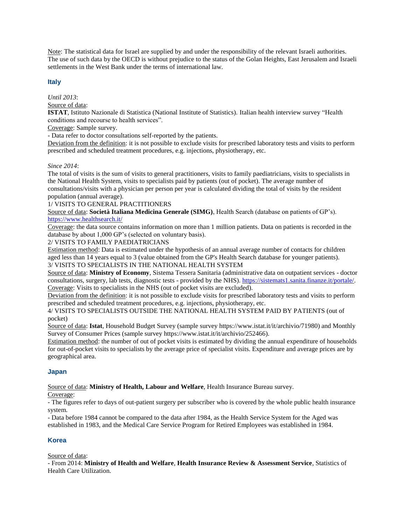Note: The statistical data for Israel are supplied by and under the responsibility of the relevant Israeli authorities. The use of such data by the OECD is without prejudice to the status of the Golan Heights, East Jerusalem and Israeli settlements in the West Bank under the terms of international law.

## **Italy**

*Until 2013*:

Source of data:

**ISTAT**, Istituto Nazionale di Statistica (National Institute of Statistics). Italian health interview survey "Health conditions and recourse to health services".

Coverage: Sample survey.

- Data refer to doctor consultations self-reported by the patients.

Deviation from the definition: it is not possible to exclude visits for prescribed laboratory tests and visits to perform prescribed and scheduled treatment procedures, e.g. injections, physiotherapy, etc.

#### *Since 2014*:

The total of visits is the sum of visits to general practitioners, visits to family paediatricians, visits to specialists in the National Health System, visits to specialists paid by patients (out of pocket). The average number of consultations/visits with a physician per person per year is calculated dividing the total of visits by the resident population (annual average).

## 1/ VISITS TO GENERAL PRACTITIONERS

Source of data: **Società Italiana Medicina Generale (SIMG)**, Health Search (database on patients of GP's). <https://www.healthsearch.it/>

Coverage: the data source contains information on more than 1 million patients. Data on patients is recorded in the database by about 1,000 GP's (selected on voluntary basis).

#### 2/ VISITS TO FAMILY PAEDIATRICIANS

Estimation method: Data is estimated under the hypothesis of an annual average number of contacts for children aged less than 14 years equal to 3 (value obtained from the GP's Health Search database for younger patients).

3/ VISITS TO SPECIALISTS IN THE NATIONAL HEALTH SYSTEM

Source of data: **Ministry of Economy**, Sistema Tessera Sanitaria (administrative data on outpatient services - doctor consultations, surgery, lab tests, diagnostic tests - provided by the NHS). [https://sistemats1.sanita.finanze.it/portale/.](https://sistemats1.sanita.finanze.it/portale/) Coverage: Visits to specialists in the NHS (out of pocket visits are excluded).

Deviation from the definition: it is not possible to exclude visits for prescribed laboratory tests and visits to perform prescribed and scheduled treatment procedures, e.g. injections, physiotherapy, etc.

4/ VISITS TO SPECIALISTS OUTSIDE THE NATIONAL HEALTH SYSTEM PAID BY PATIENTS (out of pocket)

Source of data: **Istat**, Household Budget Survey (sample survey https://www.istat.it/it/archivio/71980) and Monthly Survey of Consumer Prices (sample survey https://www.istat.it/it/archivio/252466).

Estimation method: the number of out of pocket visits is estimated by dividing the annual expenditure of households for out-of-pocket visits to specialists by the average price of specialist visits. Expenditure and average prices are by geographical area.

## **Japan**

Source of data: **Ministry of Health, Labour and Welfare**, Health Insurance Bureau survey.

Coverage:

- The figures refer to days of out-patient surgery per subscriber who is covered by the whole public health insurance system.

- Data before 1984 cannot be compared to the data after 1984, as the Health Service System for the Aged was established in 1983, and the Medical Care Service Program for Retired Employees was established in 1984.

## **Korea**

Source of data:

- From 2014: **Ministry of Health and Welfare**, **Health Insurance Review & Assessment Service**, Statistics of Health Care Utilization.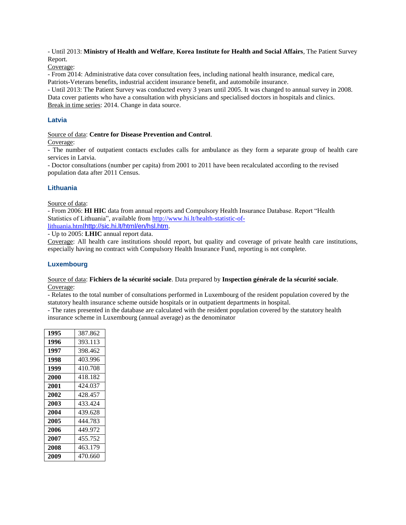- Until 2013: **Ministry of Health and Welfare**, **Korea Institute for Health and Social Affairs**, The Patient Survey Report.

Coverage:

- From 2014: Administrative data cover consultation fees, including national health insurance, medical care, Patriots-Veterans benefits, industrial accident insurance benefit, and automobile insurance.

- Until 2013: The Patient Survey was conducted every 3 years until 2005. It was changed to annual survey in 2008. Data cover patients who have a consultation with physicians and specialised doctors in hospitals and clinics. Break in time series: 2014. Change in data source.

## **Latvia**

#### Source of data: **Centre for Disease Prevention and Control**.

Coverage:

- The number of outpatient contacts excludes calls for ambulance as they form a separate group of health care services in Latvia.

- Doctor consultations (number per capita) from 2001 to 2011 have been recalculated according to the revised population data after 2011 Census.

## **Lithuania**

Source of data:

- From 2006: **HI HIC** data from annual reports and Compulsory Health Insurance Database. Report "Health Statistics of Lithuania", available fro[m http://www.hi.lt/health-statistic-of](http://www.hi.lt/health-statistic-of-lithuania.html)[lithuania.html](http://www.hi.lt/health-statistic-of-lithuania.html)<http://sic.hi.lt/html/en/hsl.htm>.

- Up to 2005: **LHIC** annual report data.

Coverage: All health care institutions should report, but quality and coverage of private health care institutions, especially having no contract with Compulsory Health Insurance Fund, reporting is not complete.

#### **Luxembourg**

#### Source of data: **Fichiers de la sécurité sociale**. Data prepared by **Inspection générale de la sécurité sociale**. Coverage:

- Relates to the total number of consultations performed in Luxembourg of the resident population covered by the statutory health insurance scheme outside hospitals or in outpatient departments in hospital.

- The rates presented in the database are calculated with the resident population covered by the statutory health insurance scheme in Luxembourg (annual average) as the denominator

| 1995 | 387.862 |
|------|---------|
| 1996 | 393.113 |
| 1997 | 398.462 |
| 1998 | 403.996 |
| 1999 | 410.708 |
| 2000 | 418.182 |
| 2001 | 424.037 |
| 2002 | 428.457 |
| 2003 | 433.424 |
| 2004 | 439.628 |
| 2005 | 444.783 |
| 2006 | 449.972 |
| 2007 | 455.752 |
| 2008 | 463.179 |
| 2009 | 470.660 |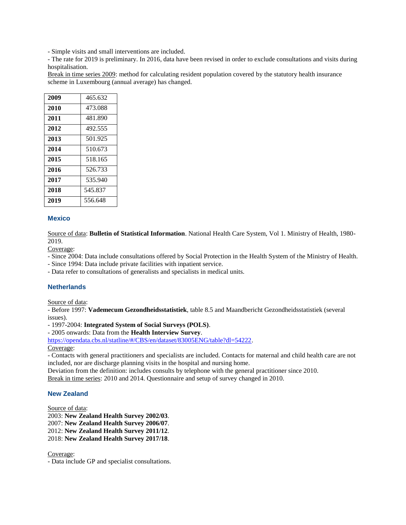- Simple visits and small interventions are included.

- The rate for 2019 is preliminary. In 2016, data have been revised in order to exclude consultations and visits during hospitalisation.

Break in time series 2009: method for calculating resident population covered by the statutory health insurance scheme in Luxembourg (annual average) has changed.

| 2009 | 465.632 |
|------|---------|
| 2010 | 473.088 |
| 2011 | 481.890 |
| 2012 | 492.555 |
| 2013 | 501.925 |
| 2014 | 510.673 |
| 2015 | 518.165 |
| 2016 | 526.733 |
| 2017 | 535.940 |
| 2018 | 545.837 |
| 2019 | 556.648 |

## **Mexico**

Source of data: **Bulletin of Statistical Information**. National Health Care System, Vol 1. Ministry of Health, 1980- 2019.

Coverage:

- Since 2004: Data include consultations offered by Social Protection in the Health System of the Ministry of Health.

- Since 1994: Data include private facilities with inpatient service.

- Data refer to consultations of generalists and specialists in medical units.

## **Netherlands**

Source of data:

- Before 1997: **Vademecum Gezondheidsstatistiek**, table 8.5 and Maandbericht Gezondheidsstatistiek (several issues).

- 1997-2004: **Integrated System of Social Surveys (POLS)**.

- 2005 onwards: Data from the **Health Interview Survey**.

[https://opendata.cbs.nl/statline/#/CBS/en/dataset/83005ENG/table?dl=54222.](https://opendata.cbs.nl/statline/#/CBS/en/dataset/83005ENG/table?dl=54222) Coverage:

- Contacts with general practitioners and specialists are included. Contacts for maternal and child health care are not included, nor are discharge planning visits in the hospital and nursing home.

Deviation from the definition: includes consults by telephone with the general practitioner since 2010.

Break in time series: 2010 and 2014. Questionnaire and setup of survey changed in 2010.

#### **New Zealand**

Source of data:

2003: **New Zealand Health Survey 2002/03**. 2007: **New Zealand Health Survey 2006/07**. 2012: **New Zealand Health Survey 2011/12**. 2018: **New Zealand Health Survey 2017/18**.

Coverage:

- Data include GP and specialist consultations.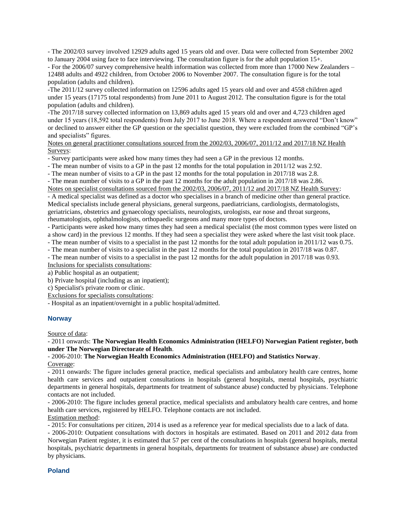- The 2002/03 survey involved 12929 adults aged 15 years old and over. Data were collected from September 2002 to January 2004 using face to face interviewing. The consultation figure is for the adult population 15+.

- For the 2006/07 survey comprehensive health information was collected from more than 17000 New Zealanders – 12488 adults and 4922 children, from October 2006 to November 2007. The consultation figure is for the total population (adults and children).

-The 2011/12 survey collected information on 12596 adults aged 15 years old and over and 4558 children aged under 15 years (17175 total respondents) from June 2011 to August 2012. The consultation figure is for the total population (adults and children).

-The 2017/18 survey collected information on 13,869 adults aged 15 years old and over and 4,723 children aged under 15 years (18,592 total respondents) from July 2017 to June 2018. Where a respondent answered "Don't know" or declined to answer either the GP question or the specialist question, they were excluded from the combined "GP's and specialists" figures.

Notes on general practitioner consultations sourced from the 2002/03, 2006/07, 2011/12 and 2017/18 NZ Health Surveys:

- Survey participants were asked how many times they had seen a GP in the previous 12 months.

- The mean number of visits to a GP in the past 12 months for the total population in 2011/12 was 2.92.

- The mean number of visits to a GP in the past 12 months for the total population in 2017/18 was 2.8.

- The mean number of visits to a GP in the past 12 months for the adult population in 2017/18 was 2.86. Notes on specialist consultations sourced from the 2002/03, 2006/07, 2011/12 and 2017/18 NZ Health Survey:

- A medical specialist was defined as a doctor who specialises in a branch of medicine other than general practice. Medical specialists include general physicians, general surgeons, paediatricians, cardiologists, dermatologists, geriatricians, obstetrics and gynaecology specialists, neurologists, urologists, ear nose and throat surgeons, rheumatologists, ophthalmologists, orthopaedic surgeons and many more types of doctors.

- Participants were asked how many times they had seen a medical specialist (the most common types were listed on a show card) in the previous 12 months. If they had seen a specialist they were asked where the last visit took place.

- The mean number of visits to a specialist in the past 12 months for the total adult population in 2011/12 was 0.75.

- The mean number of visits to a specialist in the past 12 months for the total population in 2017/18 was 0.87.

- The mean number of visits to a specialist in the past 12 months for the adult population in 2017/18 was 0.93. Inclusions for specialists consultations:

a) Public hospital as an outpatient;

b) Private hospital (including as an inpatient);

c) Specialist's private room or clinic.

Exclusions for specialists consultations:

- Hospital as an inpatient/overnight in a public hospital/admitted.

#### **Norway**

Source of data:

- 2011 onwards: **The Norwegian Health Economics Administration (HELFO) Norwegian Patient register, both under The Norwegian Directorate of Health**.

- 2006-2010: **The Norwegian Health Economics Administration (HELFO) and Statistics Norway**. Coverage:

- 2011 onwards: The figure includes general practice, medical specialists and ambulatory health care centres, home health care services and outpatient consultations in hospitals (general hospitals, mental hospitals, psychiatric departments in general hospitals, departments for treatment of substance abuse) conducted by physicians. Telephone contacts are not included.

- 2006-2010: The figure includes general practice, medical specialists and ambulatory health care centres, and home health care services, registered by HELFO. Telephone contacts are not included.

Estimation method:

- 2015: For consultations per citizen, 2014 is used as a reference year for medical specialists due to a lack of data.

- 2006-2010: Outpatient consultations with doctors in hospitals are estimated. Based on 2011 and 2012 data from Norwegian Patient register, it is estimated that 57 per cent of the consultations in hospitals (general hospitals, mental hospitals, psychiatric departments in general hospitals, departments for treatment of substance abuse) are conducted by physicians.

#### **Poland**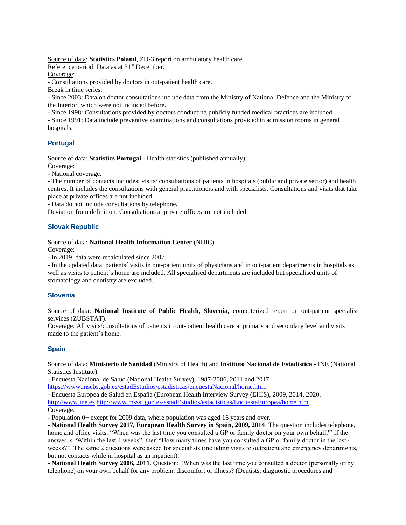Source of data: **Statistics Poland**, ZD-3 report on ambulatory health care.

Reference period: Data as at 31<sup>st</sup> December.

Coverage:

- Consultations provided by doctors in out-patient health care.

Break in time series:

- Since 2003: Data on doctor consultations include data from the Ministry of National Defence and the Ministry of the Interior, which were not included before.

- Since 1998: Consultations provided by doctors conducting publicly funded medical practices are included.

- Since 1991: Data include preventive examinations and consultations provided in admission rooms in general hospitals.

# **Portugal**

Source of data: **Statistics Portuga**l - Health statistics (published annually).

Coverage:

- National coverage.

- The number of contacts includes: visits/ consultations of patients in hospitals (public and private sector) and health centres. It includes the consultations with general practitioners and with specialists. Consultations and visits that take place at private offices are not included.

- Data do not include consultations by telephone.

Deviation from definition: Consultations at private offices are not included.

## **Slovak Republic**

Source of data: **National Health Information Center** (NHIC).

Coverage:

- In 2019, data were recalculated since 2007.

- In the updated data, patients´ visits in out-patient units of physicians and in out-patient departments in hospitals as well as visits to patient´s home are included. All specialised departments are included but specialised units of stomatology and dentistry are excluded.

## **Slovenia**

Source of data: **National Institute of Public Health, Slovenia,** computerized report on out-patient specialist services (ZUBSTAT).

Coverage: All visits/consultations of patients in out-patient health care at primary and secondary level and visits made to the patient's home.

## **Spain**

Source of data: **Ministerio de Sanidad** (Ministry of Health) and **Instituto Nacional de Estadística** - INE (National Statistics Institute).

- Encuesta Nacional de Salud (National Health Survey), 1987-2006, 2011 and 2017.

[https://www.mscbs.gob.es/estadEstudios/estadisticas/encuestaNacional/home.htm.](https://www.mscbs.gob.es/estadEstudios/estadisticas/encuestaNacional/home.htm)

- Encuesta Europea de Salud en España (European Health Interview Survey (EHIS), 2009, 2014, 2020.

[http://www.ine.es](http://www.ine.es/) [http://www.msssi.gob.es/estadEstudios/estadisticas/EncuestaEuropea/home.htm.](http://www.msssi.gob.es/estadEstudios/estadisticas/EncuestaEuropea/home.htm)

## Coverage:

- Population 0+ except for 2009 data, where population was aged 16 years and over.

- **National Health Survey 2017, European Health Survey in Spain, 2009, 2014**. The question includes telephone, home and office visits: "When was the last time you consulted a GP or family doctor on your own behalf?" If the answer is "Within the last 4 weeks", then "How many times have you consulted a GP or family doctor in the last 4 weeks?". The same 2 questions were asked for specialists (including visits to outpatient and emergency departments, but not contacts while in hospital as an inpatient).

- **National Health Survey 2006, 2011**. Question: "When was the last time you consulted a doctor (personally or by telephone) on your own behalf for any problem, discomfort or illness? (Dentists, diagnostic procedures and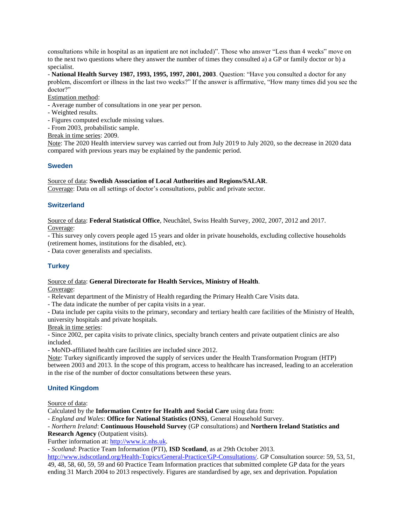consultations while in hospital as an inpatient are not included)". Those who answer "Less than 4 weeks" move on to the next two questions where they answer the number of times they consulted a) a GP or family doctor or b) a specialist.

- **National Health Survey 1987, 1993, 1995, 1997, 2001, 2003**. Question: "Have you consulted a doctor for any problem, discomfort or illness in the last two weeks?" If the answer is affirmative, "How many times did you see the doctor?"

Estimation method:

- Average number of consultations in one year per person.
- Weighted results.
- Figures computed exclude missing values.

- From 2003, probabilistic sample.

Break in time series: 2009.

Note: The 2020 Health interview survey was carried out from July 2019 to July 2020, so the decrease in 2020 data compared with previous years may be explained by the pandemic period.

#### **Sweden**

Source of data: **Swedish Association of Local Authorities and Regions/SALAR**.

Coverage: Data on all settings of doctor's consultations, public and private sector.

#### **Switzerland**

Source of data: **Federal Statistical Office**, Neuchâtel, Swiss Health Survey, 2002, 2007, 2012 and 2017. Coverage:

- This survey only covers people aged 15 years and older in private households, excluding collective households (retirement homes, institutions for the disabled, etc).

- Data cover generalists and specialists.

## **Turkey**

#### Source of data: **General Directorate for Health Services, Ministry of Health**.

Coverage:

- Relevant department of the Ministry of Health regarding the Primary Health Care Visits data.

- The data indicate the number of per capita visits in a year.

- Data include per capita visits to the primary, secondary and tertiary health care facilities of the Ministry of Health, university hospitals and private hospitals.

Break in time series:

- Since 2002, per capita visits to private clinics, specialty branch centers and private outpatient clinics are also included.

- MoND-affiliated health care facilities are included since 2012.

Note: Turkey significantly improved the supply of services under the Health Transformation Program (HTP) between 2003 and 2013. In the scope of this program, access to healthcare has increased, leading to an acceleration in the rise of the number of doctor consultations between these years.

#### **United Kingdom**

Source of data:

Calculated by the **Information Centre for Health and Social Care** using data from:

*- England and Wales*: **Office for National Statistics (ONS)**, General Household Survey.

*- Northern Ireland*: **Continuous Household Survey** (GP consultations) and **Northern Ireland Statistics and Research Agency** (Outpatient visits).

Further information at: [http://www.ic.nhs.uk.](http://www.ic.nhs.uk/)

*- Scotland*: Practice Team Information (PTI), **ISD Scotland**, as at 29th October 2013.

[http://www.isdscotland.org/Health-Topics/General-Practice/GP-Consultations/.](http://www.isdscotland.org/Health-Topics/General-Practice/GP-Consultations/) GP Consultation source: 59, 53, 51, 49, 48, 58, 60, 59, 59 and 60 Practice Team Information practices that submitted complete GP data for the years ending 31 March 2004 to 2013 respectively. Figures are standardised by age, sex and deprivation. Population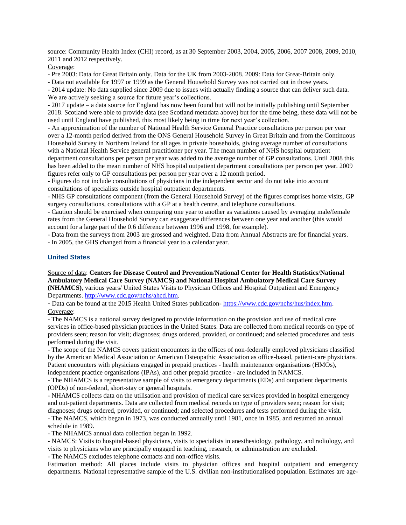source: Community Health Index (CHI) record, as at 30 September 2003, 2004, 2005, 2006, 2007 2008, 2009, 2010, 2011 and 2012 respectively.

Coverage:

- Pre 2003: Data for Great Britain only. Data for the UK from 2003-2008. 2009: Data for Great-Britain only.

- Data not available for 1997 or 1999 as the General Household Survey was not carried out in those years.

- 2014 update: No data supplied since 2009 due to issues with actually finding a source that can deliver such data. We are actively seeking a source for future year's collections.

- 2017 update – a data source for England has now been found but will not be initially publishing until September 2018. Scotland were able to provide data (see Scotland metadata above) but for the time being, these data will not be used until England have published, this most likely being in time for next year's collection.

- An approximation of the number of National Health Service General Practice consultations per person per year over a 12-month period derived from the ONS General Household Survey in Great Britain and from the Continuous Household Survey in Northern Ireland for all ages in private households, giving average number of consultations with a National Health Service general practitioner per year. The mean number of NHS hospital outpatient department consultations per person per year was added to the average number of GP consultations. Until 2008 this has been added to the mean number of NHS hospital outpatient department consultations per person per year. 2009 figures refer only to GP consultations per person per year over a 12 month period.

- Figures do not include consultations of physicians in the independent sector and do not take into account consultations of specialists outside hospital outpatient departments.

- NHS GP consultations component (from the General Household Survey) of the figures comprises home visits, GP surgery consultations, consultations with a GP at a health centre, and telephone consultations.

- Caution should be exercised when comparing one year to another as variations caused by averaging male/female rates from the General Household Survey can exaggerate differences between one year and another (this would account for a large part of the 0.6 difference between 1996 and 1998, for example).

- Data from the surveys from 2003 are grossed and weighted. Data from Annual Abstracts are for financial years. - In 2005, the GHS changed from a financial year to a calendar year.

#### **United States**

Source of data: **Centers for Disease Control and Prevention**/**National Center for Health Statistics**/**National Ambulatory Medical Care Survey (NAMCS) and National Hospital Ambulatory Medical Care Survey (NHAMCS)**, various years/ United States Visits to Physician Offices and Hospital Outpatient and Emergency Departments. [http://www.cdc.gov/nchs/ahcd.htm.](http://www.cdc.gov/nchs/ahcd.htm)

- Data can be found at the 2015 Health United States publication- [https://www.cdc.gov/nchs/hus/index.htm.](https://www.cdc.gov/nchs/hus/index.htm) Coverage:

- The NAMCS is a national survey designed to provide information on the provision and use of medical care services in office-based physician practices in the United States. Data are collected from medical records on type of providers seen; reason for visit; diagnoses; drugs ordered, provided, or continued; and selected procedures and tests performed during the visit.

- The scope of the NAMCS covers patient encounters in the offices of non-federally employed physicians classified by the American Medical Association or American Osteopathic Association as office-based, patient-care physicians. Patient encounters with physicians engaged in prepaid practices - health maintenance organisations (HMOs), independent practice organisations (IPAs), and other prepaid practice - are included in NAMCS.

- The NHAMCS is a representative sample of visits to emergency departments (EDs) and outpatient departments (OPDs) of non-federal, short-stay or general hospitals.

- NHAMCS collects data on the utilisation and provision of medical care services provided in hospital emergency and out-patient departments. Data are collected from medical records on type of providers seen; reason for visit; diagnoses; drugs ordered, provided, or continued; and selected procedures and tests performed during the visit.

- The NAMCS, which began in 1973, was conducted annually until 1981, once in 1985, and resumed an annual schedule in 1989.

- The NHAMCS annual data collection began in 1992.

- NAMCS: Visits to hospital-based physicians, visits to specialists in anesthesiology, pathology, and radiology, and

visits to physicians who are principally engaged in teaching, research, or administration are excluded.

- The NAMCS excludes telephone contacts and non-office visits.

Estimation method: All places include visits to physician offices and hospital outpatient and emergency departments. National representative sample of the U.S. civilian non-institutionalised population. Estimates are age